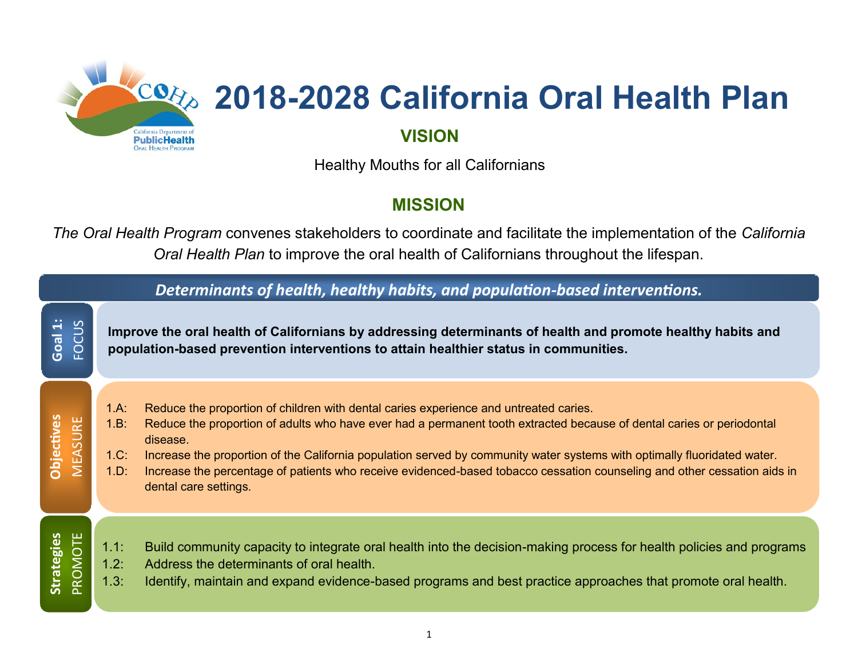

# **2018-2028 California Oral Health Plan**

### **VISION**

Healthy Mouths for all Californians

## **MISSION**

*The Oral Health Program* convenes stakeholders to coordinate and facilitate the implementation of the *California Oral Health Plan* to improve the oral health of Californians throughout the lifespan.

| Determinants of health, healthy habits, and population-based interventions. |                                                                                                                                                                                                     |                                                                                                                                                                                                                                                                                                                                                                                                                                                                                                             |  |  |  |  |
|-----------------------------------------------------------------------------|-----------------------------------------------------------------------------------------------------------------------------------------------------------------------------------------------------|-------------------------------------------------------------------------------------------------------------------------------------------------------------------------------------------------------------------------------------------------------------------------------------------------------------------------------------------------------------------------------------------------------------------------------------------------------------------------------------------------------------|--|--|--|--|
| Goal 1:<br>FOCUS                                                            | Improve the oral health of Californians by addressing determinants of health and promote healthy habits and<br>population-based prevention interventions to attain healthier status in communities. |                                                                                                                                                                                                                                                                                                                                                                                                                                                                                                             |  |  |  |  |
| <b>Objectives</b><br><b>MEASURE</b>                                         | 1.A:<br>1.B:<br>1.C:<br>1.D:                                                                                                                                                                        | Reduce the proportion of children with dental caries experience and untreated caries.<br>Reduce the proportion of adults who have ever had a permanent tooth extracted because of dental caries or periodontal<br>disease.<br>Increase the proportion of the California population served by community water systems with optimally fluoridated water.<br>Increase the percentage of patients who receive evidenced-based tobacco cessation counseling and other cessation aids in<br>dental care settings. |  |  |  |  |
| PROMOTE<br><b>Strategies</b>                                                | 1.1:<br>1.2:<br>1.3:                                                                                                                                                                                | Build community capacity to integrate oral health into the decision-making process for health policies and programs<br>Address the determinants of oral health.<br>Identify, maintain and expand evidence-based programs and best practice approaches that promote oral health.                                                                                                                                                                                                                             |  |  |  |  |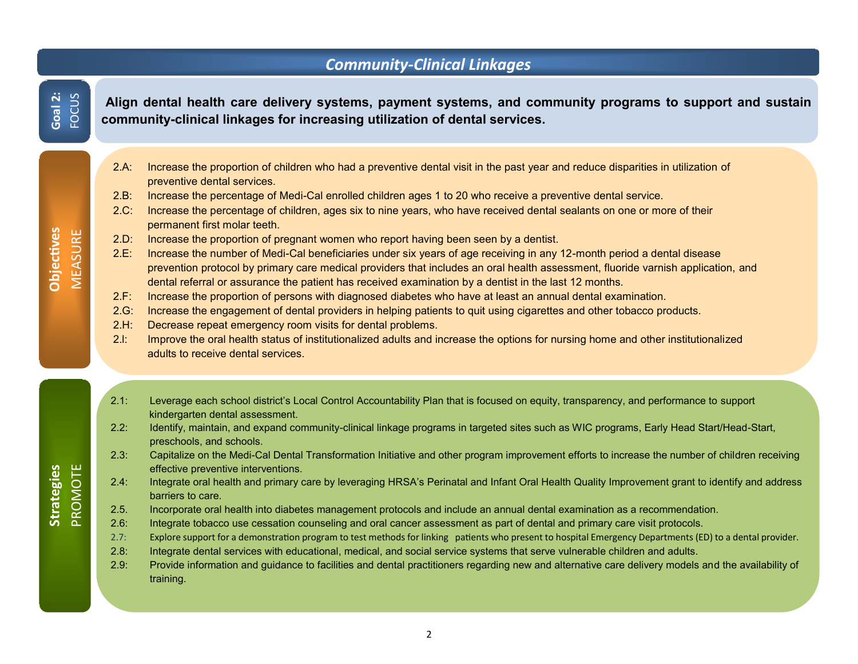#### *Community-Clinical Linkages*

**Align dental health care delivery systems, payment systems, and community programs to support and sustain community-clinical linkages for increasing utilization of dental services.**

- 2.A: Increase the proportion of children who had a preventive dental visit in the past year and reduce disparities in utilization of preventive dental services.
- 2.B: Increase the percentage of Medi-Cal enrolled children ages 1 to 20 who receive a preventive dental service.
- 2.C: Increase the percentage of children, ages six to nine years, who have received dental sealants on one or more of their permanent first molar teeth.
- 2.D: Increase the proportion of pregnant women who report having been seen by a dentist.
- 2.E: Increase the number of Medi-Cal beneficiaries under six years of age receiving in any 12-month period a dental disease prevention protocol by primary care medical providers that includes an oral health assessment, fluoride varnish application, and dental referral or assurance the patient has received examination by a dentist in the last 12 months.
- 2.F: Increase the proportion of persons with diagnosed diabetes who have at least an annual dental examination.
- 2.G: Increase the engagement of dental providers in helping patients to quit using cigarettes and other tobacco products.
- 2.H: Decrease repeat emergency room visits for dental problems.
- 2.l: Improve the oral health status of institutionalized adults and increase the options for nursing home and other institutionalized adults to receive dental services.
- 2.1: Leverage each school district's Local Control Accountability Plan that is focused on equity, transparency, and performance to support kindergarten dental assessment.
- 2.2: Identify, maintain, and expand community-clinical linkage programs in targeted sites such as WIC programs, Early Head Start/Head-Start, preschools, and schools.
- 2.3: Capitalize on the Medi-Cal Dental Transformation Initiative and other program improvement efforts to increase the number of children receiving effective preventive interventions.
- 2.4: Integrate oral health and primary care by leveraging HRSA's Perinatal and Infant Oral Health Quality Improvement grant to identify and address barriers to care.
- 2.5. Incorporate oral health into diabetes management protocols and include an annual dental examination as a recommendation.
- 2.6: Integrate tobacco use cessation counseling and oral cancer assessment as part of dental and primary care visit protocols.
- 2.7: Explore support for a demonstration program to test methods for linking patients who present to hospital Emergency Departments (ED) to a dental provider.
- 2.8: Integrate dental services with educational, medical, and social service systems that serve vulnerable children and adults.
- 2.9: Provide information and guidance to facilities and dental practitioners regarding new and alternative care delivery models and the availability of training.

**Objectives MEASURE** 

**Goal 2:** FOCUS

# **Strategies PROMOTE**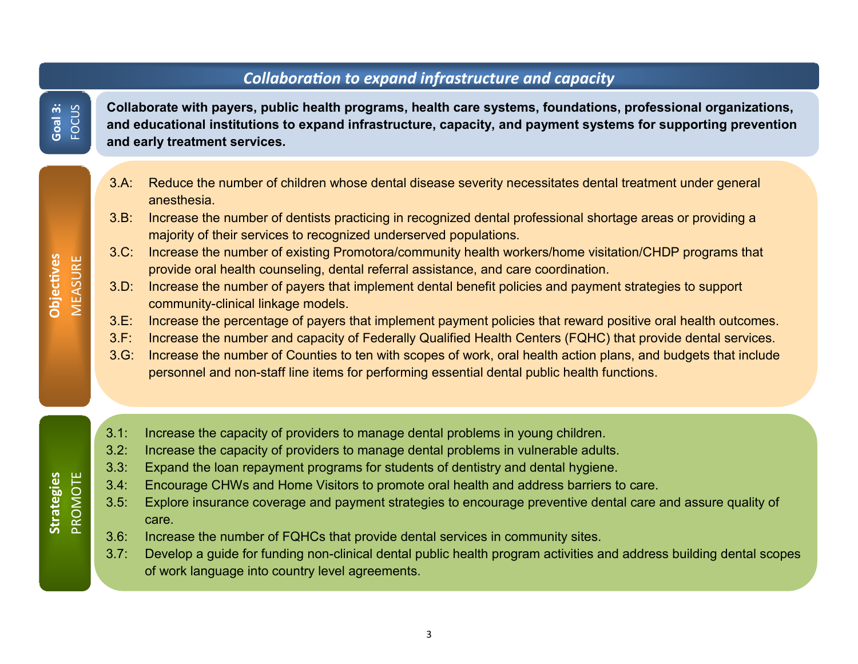#### *Collaboration to expand infrastructure and capacity*

**Collaborate with payers, public health programs, health care systems, foundations, professional organizations, and educational institutions to expand infrastructure, capacity, and payment systems for supporting prevention and early treatment services.** 

- 3.A: Reduce the number of children whose dental disease severity necessitates dental treatment under general anesthesia.
- 3.B: Increase the number of dentists practicing in recognized dental professional shortage areas or providing a majority of their services to recognized underserved populations.
- 3.C: Increase the number of existing Promotora/community health workers/home visitation/CHDP programs that provide oral health counseling, dental referral assistance, and care coordination.
- 3.D: Increase the number of payers that implement dental benefit policies and payment strategies to support community-clinical linkage models.
- 3.E: Increase the percentage of payers that implement payment policies that reward positive oral health outcomes.
- 3.F: Increase the number and capacity of Federally Qualified Health Centers (FQHC) that provide dental services.
- 3.G: Increase the number of Counties to ten with scopes of work, oral health action plans, and budgets that include personnel and non-staff line items for performing essential dental public health functions.
- 3.1: Increase the capacity of providers to manage dental problems in young children.
- 3.2: Increase the capacity of providers to manage dental problems in vulnerable adults.
- 3.3: Expand the loan repayment programs for students of dentistry and dental hygiene.
- 3.4: Encourage CHWs and Home Visitors to promote oral health and address barriers to care.
- 3.5: Explore insurance coverage and payment strategies to encourage preventive dental care and assure quality of care.
- 3.6: Increase the number of FQHCs that provide dental services in community sites.
- 3.7: Develop a guide for funding non-clinical dental public health program activities and address building dental scopes of work language into country level agreements.

**Goal 3:** FOCUS

**Strategies PROMOTE**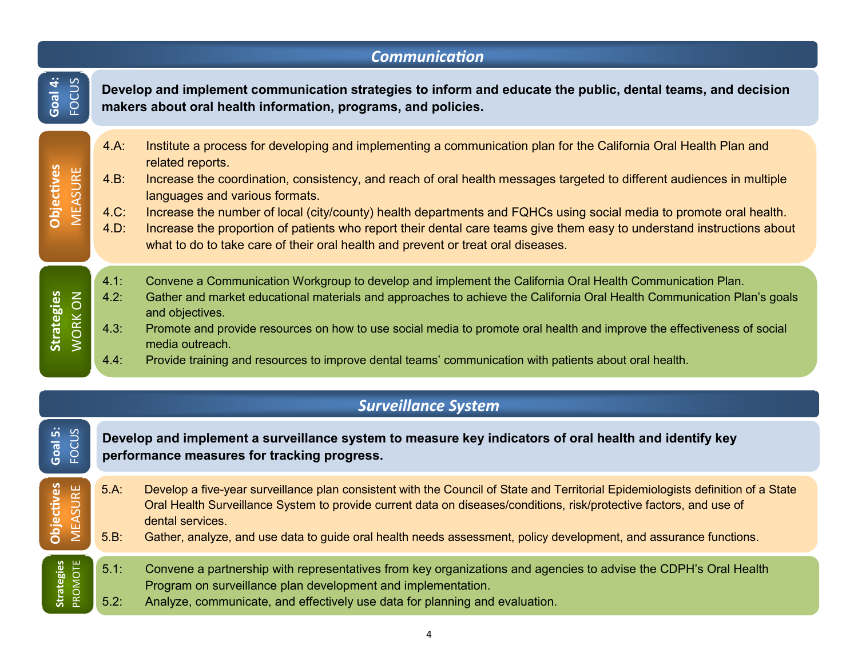| <b>Communication</b>                                 |                                                                                                                                                                              |                                                                                                                                                                                                                                                                                                                                                                                                                                                                                                                                                                                                                                     |  |  |  |  |  |
|------------------------------------------------------|------------------------------------------------------------------------------------------------------------------------------------------------------------------------------|-------------------------------------------------------------------------------------------------------------------------------------------------------------------------------------------------------------------------------------------------------------------------------------------------------------------------------------------------------------------------------------------------------------------------------------------------------------------------------------------------------------------------------------------------------------------------------------------------------------------------------------|--|--|--|--|--|
| Goal 4:<br>FOCUS                                     | Develop and implement communication strategies to inform and educate the public, dental teams, and decision<br>makers about oral health information, programs, and policies. |                                                                                                                                                                                                                                                                                                                                                                                                                                                                                                                                                                                                                                     |  |  |  |  |  |
| <b>Objectives</b><br><b>MEASURE</b>                  | $4.A$ :<br>$4.B$ :<br>4.C:<br>4.D.                                                                                                                                           | Institute a process for developing and implementing a communication plan for the California Oral Health Plan and<br>related reports.<br>Increase the coordination, consistency, and reach of oral health messages targeted to different audiences in multiple<br>languages and various formats.<br>Increase the number of local (city/county) health departments and FQHCs using social media to promote oral health.<br>Increase the proportion of patients who report their dental care teams give them easy to understand instructions about<br>what to do to take care of their oral health and prevent or treat oral diseases. |  |  |  |  |  |
| <b>Strategies</b><br>MORK ON                         | 4.1:<br>4.2:<br>4.3:<br>4.4:                                                                                                                                                 | Convene a Communication Workgroup to develop and implement the California Oral Health Communication Plan.<br>Gather and market educational materials and approaches to achieve the California Oral Health Communication Plan's goals<br>and objectives.<br>Promote and provide resources on how to use social media to promote oral health and improve the effectiveness of social<br>media outreach.<br>Provide training and resources to improve dental teams' communication with patients about oral health.                                                                                                                     |  |  |  |  |  |
| <b>Surveillance System</b>                           |                                                                                                                                                                              |                                                                                                                                                                                                                                                                                                                                                                                                                                                                                                                                                                                                                                     |  |  |  |  |  |
| Goal 5:<br>FOCUS                                     | Develop and implement a surveillance system to measure key indicators of oral health and identify key<br>performance measures for tracking progress.                         |                                                                                                                                                                                                                                                                                                                                                                                                                                                                                                                                                                                                                                     |  |  |  |  |  |
| ectives<br>ASURE<br><b>PO</b><br>$\overline{\Sigma}$ | $5.A$ :<br>$5.B$ :                                                                                                                                                           | Develop a five-year surveillance plan consistent with the Council of State and Territorial Epidemiologists definition of a State<br>Oral Health Surveillance System to provide current data on diseases/conditions, risk/protective factors, and use of<br>dental services.<br>Gather, analyze, and use data to guide oral health needs assessment, policy development, and assurance functions.                                                                                                                                                                                                                                    |  |  |  |  |  |
| <b>Strategies</b><br>PROMOTE                         | 5.1:<br>5.2:                                                                                                                                                                 | Convene a partnership with representatives from key organizations and agencies to advise the CDPH's Oral Health<br>Program on surveillance plan development and implementation.<br>Analyze, communicate, and effectively use data for planning and evaluation.                                                                                                                                                                                                                                                                                                                                                                      |  |  |  |  |  |

4